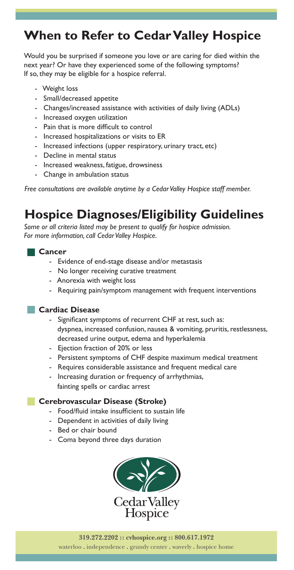# **When to Refer to Cedar Valley Hospice**

Would you be surprised if someone you love or are caring for died within the next year? Or have they experienced some of the following symptoms? If so, they may be eligible for a hospice referral.

- Weight loss
- Small/decreased appetite
- Changes/increased assistance with activities of daily living (ADLs)
- Increased oxygen utilization
- Pain that is more difficult to control
- Increased hospitalizations or visits to ER
- Increased infections (upper respiratory, urinary tract, etc)
- Decline in mental status
- Increased weakness, fatigue, drowsiness
- Change in ambulation status

*Free consultations are available anytime by a Cedar Valley Hospice staff member.*

# **Hospice Diagnoses/Eligibility Guidelines**

*Some or all criteria listed may be present to qualify for hospice admission. For more information, call Cedar Valley Hospice.*

#### **Cancer**

- Evidence of end-stage disease and/or metastasis
- No longer receiving curative treatment
- Anorexia with weight loss
- Requiring pain/symptom management with frequent interventions

### **Cardiac Disease**

- Significant symptoms of recurrent CHF at rest, such as: dyspnea, increased confusion, nausea & vomiting, pruritis, restlessness, decreased urine output, edema and hyperkalemia
- Ejection fraction of 20% or less
- Persistent symptoms of CHF despite maximum medical treatment
- Requires considerable assistance and frequent medical care
- Increasing duration or frequency of arrhythmias, fainting spells or cardiac arrest

### **Cerebrovascular Disease (Stroke)**

- Food/fluid intake insufficient to sustain life
- Dependent in activities of daily living
- Bed or chair bound
- Coma beyond three days duration